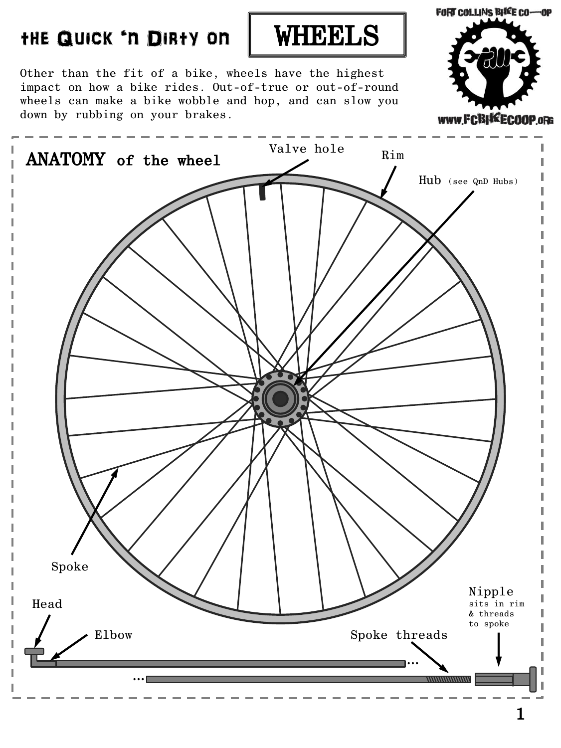# the Quick 'n Dirty on WHEELS



Other than the fit of a bike, wheels have the highest impact on how a bike rides. Out-of-true or out-of-round wheels can make a bike wobble and hop, and can slow you down by rubbing on your brakes.



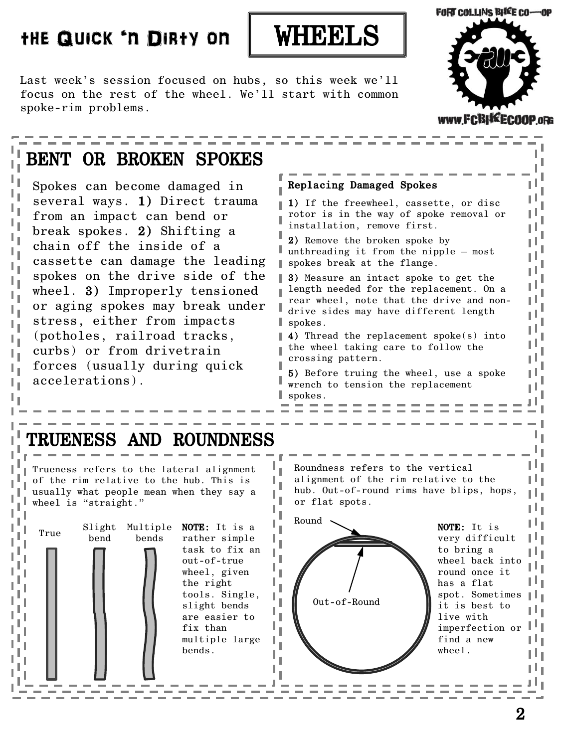

Last week's session focused on hubs, so this week we'll focus on the rest of the wheel. We'll start with common spoke-rim problems.

### BENT OR BROKEN SPOKES

Spokes can become damaged in several ways. 1) Direct trauma from an impact can bend or break spokes. 2) Shifting a chain off the inside of a cassette can damage the leading spokes on the drive side of the wheel. 3) Improperly tensioned or aging spokes may break under stress, either from impacts (potholes, railroad tracks, curbs) or from drivetrain forces (usually during quick accelerations).

L, L. ۱, L, L,

L, ı, L,

# TRUENESS AND ROUNDNESS

Trueness refers to the lateral alignment of the rim relative to the hub. This is usually what people mean when they say a wheel is "straight."



Roundness refers to the vertical alignment of the rim relative to the hub. Out-of-round rims have blips, hops, or flat spots.

2) Remove the broken spoke by

spokes break at the flange.

spokes.

spokes.

ı

crossing pattern.

installation, remove first.

Replacing Damaged Spokes

unthreading it from the nipple – most

3) Measure an intact spoke to get the length needed for the replacement. On a rear wheel, note that the drive and nondrive sides may have different length

4) Thread the replacement spoke(s) into the wheel taking care to follow the

5) Before truing the wheel, use a spoke wrench to tension the replacement

1) If the freewheel, cassette, or disc rotor is in the way of spoke removal or





μI

ц. I, Ηı Нı

Hu H ЦŢ Hт

ЦŢ

Пı

Hщ Ηı Ηı

2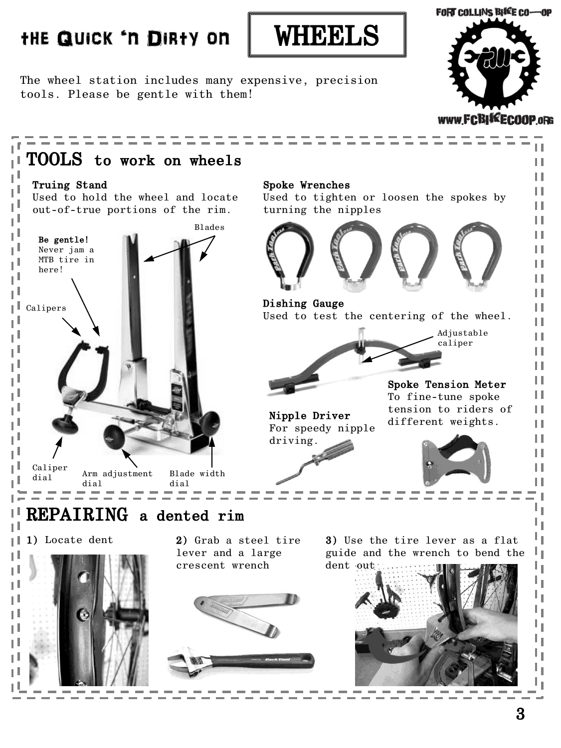# the Quick 'n Dirty on WHEELS



The wheel station includes many expensive, precision tools. Please be gentle with them!



FORT COLLINS BIKE CO-OP

www.FCBISSECOOP.oRG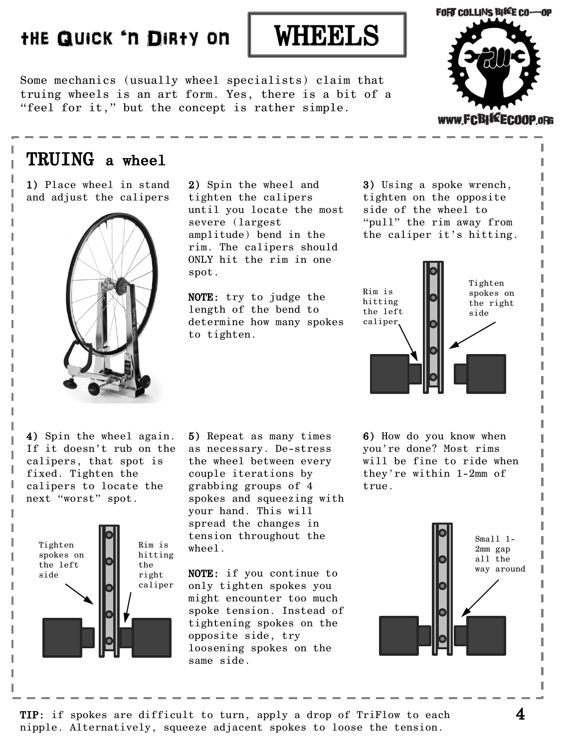# the Quick 'n Dirty on WHEELS



Some mechanics (usually wheel specialists) claim that truing wheels is an art form. Yes, there is a bit of a "feel for it," but the concept is rather simple.

### TRUING a wheel

1) Place wheel in stand and adjust the calipers



2) Spin the wheel and tighten the calipers until you locate the most severe (largest amplitude) bend in the rim. The calipers should ONLY hit the rim in one spot.

NOTE: try to judge the length of the bend to determine how many spokes to tighten.

3) Using a spoke wrench, tighten on the opposite side of the wheel to "pull" the rim away from the caliper it's hitting.



4) Spin the wheel again. If it doesn't rub on the calipers, that spot is fixed. Tighten the calipers to locate the next "worst" spot.

I I I ı



5) Repeat as many times as necessary. De-stress the wheel between every couple iterations by grabbing groups of 4 spokes and squeezing with your hand. This will spread the changes in tension throughout the wheel.

NOTE: if you continue to only tighten spokes you might encounter too much spoke tension. Instead of tightening spokes on the opposite side, try loosening spokes on the same side.

6) How do you know when you're done? Most rims will be fine to ride when they're within 1-2mm of true.



TIP: if spokes are difficult to turn, apply a drop of TriFlow to each nipple. Alternatively, squeeze adjacent spokes to loose the tension.



www.FCBIKEC00P.oRG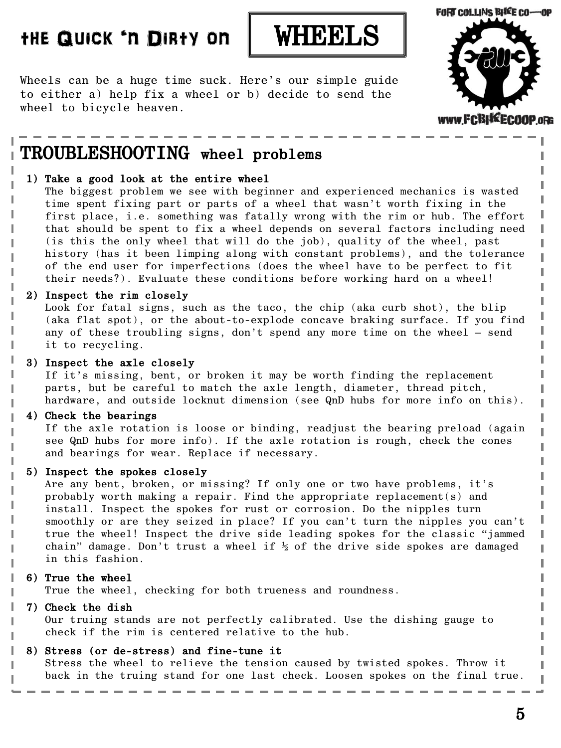### the Quick 'n Dirty on



Wheels can be a huge time suck. Here's our simple guide to either a) help fix a wheel or b) decide to send the wheel to bicycle heaven.



## TROUBLESHOOTING wheel problems

#### 1) Take a good look at the entire wheel

The biggest problem we see with beginner and experienced mechanics is wasted time spent fixing part or parts of a wheel that wasn't worth fixing in the first place, i.e. something was fatally wrong with the rim or hub. The effort that should be spent to fix a wheel depends on several factors including need (is this the only wheel that will do the job), quality of the wheel, past history (has it been limping along with constant problems), and the tolerance of the end user for imperfections (does the wheel have to be perfect to fit their needs?). Evaluate these conditions before working hard on a wheel!

#### 2) Inspect the rim closely

Look for fatal signs, such as the taco, the chip (aka curb shot), the blip (aka flat spot), or the about-to-explode concave braking surface. If you find any of these troubling signs, don't spend any more time on the wheel – send it to recycling.

#### 3) Inspect the axle closely

If it's missing, bent, or broken it may be worth finding the replacement parts, but be careful to match the axle length, diameter, thread pitch, hardware, and outside locknut dimension (see QnD hubs for more info on this).

### 4) Check the bearings

I I

I Ī

I I I Т

I

 If the axle rotation is loose or binding, readjust the bearing preload (again see QnD hubs for more info). If the axle rotation is rough, check the cones and bearings for wear. Replace if necessary.

### 5) Inspect the spokes closely

 Are any bent, broken, or missing? If only one or two have problems, it's probably worth making a repair. Find the appropriate replacement(s) and install. Inspect the spokes for rust or corrosion. Do the nipples turn smoothly or are they seized in place? If you can't turn the nipples you can't true the wheel! Inspect the drive side leading spokes for the classic "jammed chain" damage. Don't trust a wheel if  $\frac{1}{2}$  of the drive side spokes are damaged in this fashion.

### 6) True the wheel

True the wheel, checking for both trueness and roundness.

#### 7) Check the dish

 Our truing stands are not perfectly calibrated. Use the dishing gauge to check if the rim is centered relative to the hub.

### 8) Stress (or de-stress) and fine-tune it

 Stress the wheel to relieve the tension caused by twisted spokes. Throw it back in the truing stand for one last check. Loosen spokes on the final true.